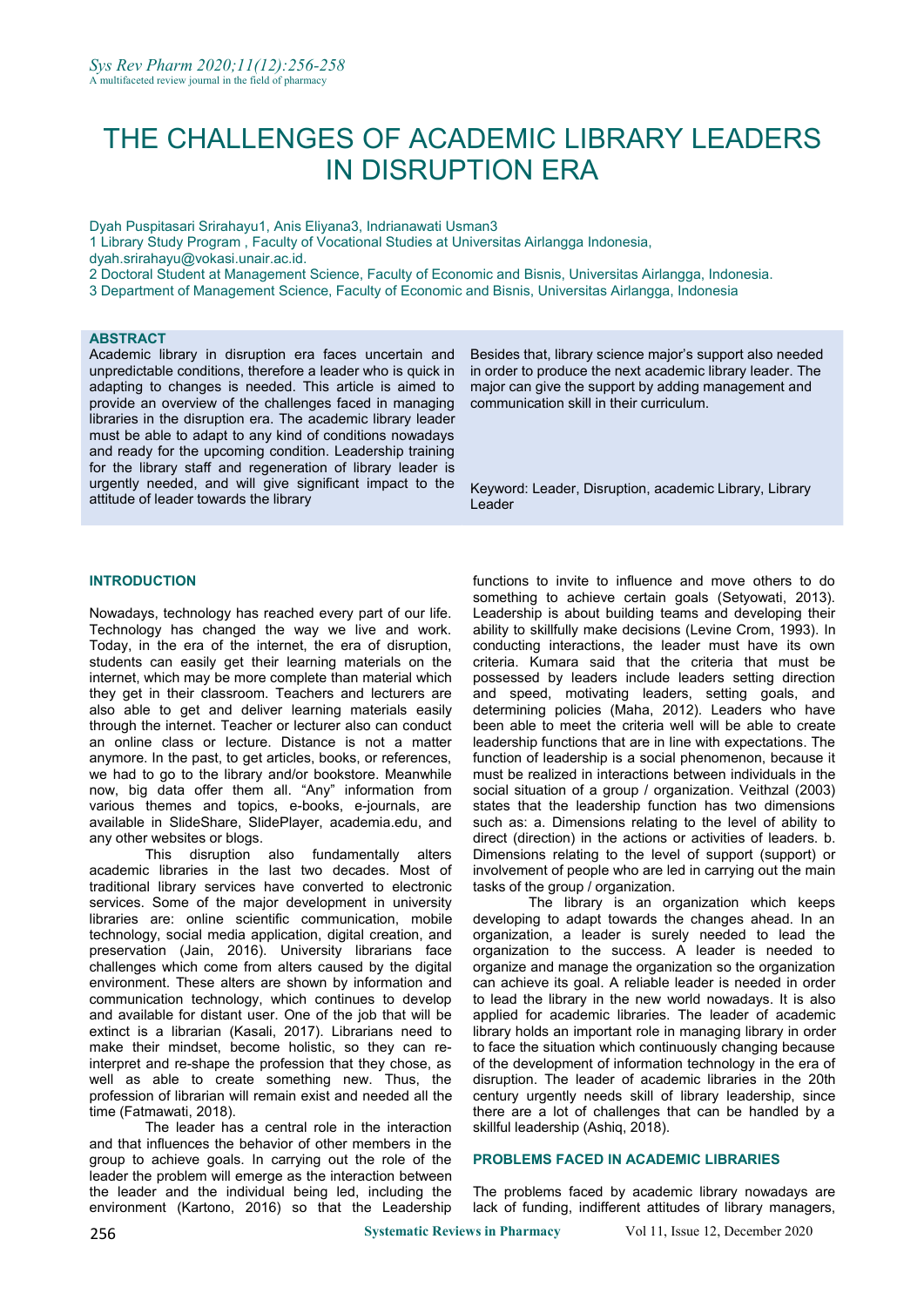# THE CHALLENGES OF ACADEMIC LIBRARY LEADERS IN DISRUPTION ERA

Dyah Puspitasari Srirahayu1, Anis Eliyana3, Indrianawati Usman3

1 Library Study Program , Faculty of Vocational Studies at Universitas Airlangga Indonesia,

dyah.srirahayu@vokasi.unair.ac.id.

2 Doctoral Student at Management Science, Faculty of Economic and Bisnis, Universitas Airlangga, Indonesia.

3 Department of Management Science, Faculty of Economic and Bisnis, Universitas Airlangga, Indonesia

## **ABSTRACT**

Academic library in disruption era faces uncertain and unpredictable conditions, therefore a leader who is quick in adapting to changes is needed. This article is aimed to provide an overview of the challenges faced in managing libraries in the disruption era. The academic library leader must be able to adapt to any kind of conditions nowadays and ready for the upcoming condition. Leadership training for the library staff and regeneration of library leader is urgently needed, and will give significant impact to the attitude of leader towards the library

## **INTRODUCTION**

Nowadays, technology has reached every part of our life.<br>Technology has changed the way we live and work. Today, in the era of the internet, the era of disruption, students can easily get their learning materials on the internet, which may be more complete than material which they get in their classroom. Teachers and lecturers are also able to get and deliver learning materials easily through the internet. Teacher or lecturer also can conduct an online class or lecture. Distance is not a matter anymore. In the past, to get articles, books, or references, we had to go to the library and/or bookstore. Meanwhile now, big data offer them all. "Any" information from various themes and topics, e-books, e-journals, are available in SlideShare, SlidePlayer, academia.edu, and any other websites or blogs.

This disruption also fundamentally alters academic libraries in the last two decades. Most of traditional library services have converted to electronic services. Some of the major development in university libraries are: online scientific communication, mobile technology, social media application, digital creation, and preservation (Jain, 2016). University librarians face challenges which come from alters caused by the digital environment. These alters are shown by information and communication technology, which continues to develop and available for distant user. One of the job that will be extinct is a librarian (Kasali, 2017). Librarians need to make their mindset, become holistic, so they can reinterpret and re-shape the profession that they chose, as well as able to create something new. Thus, the profession of librarian will remain exist and needed all the time (Fatmawati, 2018).

The leader has a central role in the interaction and that influences the behavior of other members in the group to achieve goals. In carrying out the role of the leader the problem will emerge as the interaction between the leader and the individual being led, including the environment (Kartono, 2016) so that the Leadership Besides that, library science major's support also needed in order to produce the next academic library leader. The major can give the support by adding management and communication skill in their curriculum.

Keyword: Leader, Disruption, academic Library, Library Leader

functions to invite to influence and move others to do something to achieve certain goals (Setyowati, 2013). Leadership is about building teams and developing their ability to skillfully make decisions (Levine Crom, 1993). In conducting interactions, the leader must have its own criteria. Kumara said that the criteria that must be possessed by leaders include leaders setting direction and speed, motivating leaders, setting goals, and determining policies (Maha, 2012). Leaders who have been able to meet the criteria well will be able to create leadership functions that are in line with expectations. The function of leadership is a social phenomenon, because it must be realized in interactions between individuals in the social situation of a group / organization. Veithzal (2003) states that the leadership function has two dimensions such as: a. Dimensions relating to the level of ability to direct (direction) in the actions or activities of leaders. b. Dimensions relating to the level of support (support) or involvement of people who are led in carrying out the main tasks of the group / organization.

The library is an organization which keeps developing to adapt towards the changes ahead. In an organization, a leader is surely needed to lead the organization to the success. A leader is needed to organize and manage the organization so the organization can achieve its goal. A reliable leader is needed in order to lead the library in the new world nowadays. It is also applied for academic libraries. The leader of academic library holds an important role in managing library in order to face the situation which continuously changing because of the development of information technology in the era of disruption. The leader of academic libraries in the 20th century urgently needs skill of library leadership, since there are a lot of challenges that can be handled by a skillful leadership (Ashiq, 2018).

## **PROBLEMS FACED IN ACADEMIC LIBRARIES**

The problems faced by academic library nowadays are lack of funding, indifferent attitudes of library managers,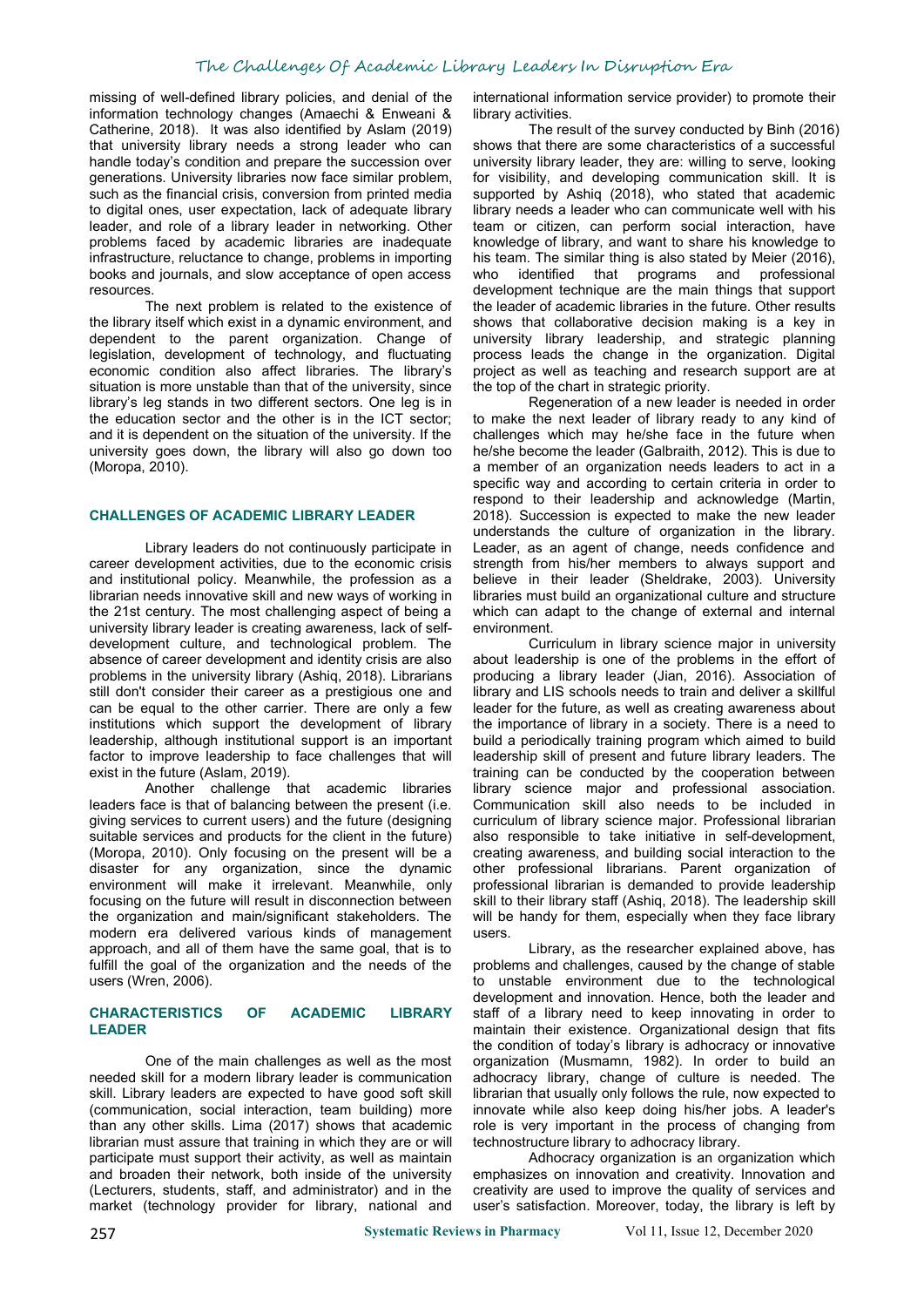# The Challenges Of Academic Library Leaders In Disruption Era

missing of well-defined library policies, and denial of the information technology changes (Amaechi & Enweani & Catherine, 2018). It was also identified by Aslam (2019) that university library needs a strong leader who can handle today's condition and prepare the succession over generations. University libraries now face similar problem, such as the financial crisis, conversion from printed media to digital ones, user expectation, lack of adequate library leader, and role of a library leader in networking. Other problems faced by academic libraries are inadequate infrastructure, reluctance to change, problems in importing his team. The sin<br>books and journals, and slow acceptance of open access who identified books and journals, and slow acceptance of open access

resources.<br>The next problem is related to the existence of the library itself which exist in a dynamic environment, and dependent to the parent organization. Change of legislation, development of technology, and fluctuating economic condition also affect libraries. The library's situation is more unstable than that of the university, since library's leg stands in two different sectors. One leg is in the education sector and the other is in the ICT sector; and it is dependent on the situation of the university. If the university goes down, the library will also go down too (Moropa, 2010).

#### **CHALLENGES OF ACADEMIC LIBRARY LEADER**

Library leaders do not continuously participate in career development activities, due to the economic crisis and institutional policy. Meanwhile, the profession as a librarian needs innovative skill and new ways of working in the 21st century. The most challenging aspect of being a university library leader is creating awareness, lack of self development culture, and technological problem. The absence of career development and identity crisis are also problems in the university library (Ashiq, 2018). Librarians still don't consider their career as a prestigious one and can be equal to the other carrier. There are only a few institutions which support the development of library leadership, although institutional support is an important factor to improve leadership to face challenges that will exist in the future (Aslam, 2019).

Another challenge that academic libraries leaders face is that of balancing between the present (i.e. giving services to current users) and the future (designing suitable services and products for the client in the future) (Moropa, 2010). Only focusing on the present will be a disaster for any organization, since the dynamic environment will make it irrelevant. Meanwhile, only focusing on the future will result in disconnection between the organization and main/significant stakeholders. The modern era delivered various kinds of management approach, and all of them have the same goal, that is to fulfill the goal of the organization and the needs of the users (Wren, 2006).

# **LEADER**

One of the main challenges as well as the most needed skill for a modern library leader is communication skill. Library leaders are expected to have good soft skill (communication, social interaction, team building) more than any other skills. Lima (2017) shows that academic librarian must assure that training in which they are or will participate must support their activity, as well as maintain and broaden their network, both inside of the university (Lecturers, students, staff, and administrator) and in the market (technology provider for library, national and

international information service provider) to promote their library activities.

The result of the survey conducted by Binh (2016) shows that there are some characteristics of a successful university library leader, they are: willing to serve, looking for visibility, and developing communication skill. It is supported by Ashiq (2018), who stated that academic library needs a leader who can communicate well with his team or citizen, can perform social interaction, have knowledge of library, and want to share his knowledge to his team. The similar thing is also stated by Meier (2016), that programs and professional development technique are the main things that support the leader of academic libraries in the future. Other results shows that collaborative decision making is a key in university library leadership, and strategic planning process leads the change in the organization. Digital project as well as teaching and research support are at the top of the chart in strategic priority.

Regeneration of a new leader is needed in order to make the next leader of library ready to any kind of challenges which may he/she face in the future when he/she become the leader (Galbraith, 2012). This is due to a member of an organization needs leaders to act in a specific way and according to certain criteria in order to respond to their leadership and acknowledge (Martin, 2018). Succession is expected to make the new leader understands the culture of organization in the library. Leader, as an agent of change, needs confidence and strength from his/her members to always support and believe in their leader (Sheldrake, 2003). University libraries must build an organizational culture and structure which can adapt to the change of external and internal environment.

Curriculum in library science major in university about leadership is one of the problems in the effort of producing a library leader (Jian, 2016). Association of library and LIS schools needs to train and deliver a skillful leader for the future, as well as creating awareness about the importance of library in a society. There is a need to build a periodically training program which aimed to build leadership skill of present and future library leaders. The training can be conducted by the cooperation between library science major and professional association. Communication skill also needs to be included in curriculum of library science major. Professional librarian also responsible to take initiative in self-development, creating awareness, and building social interaction to the other professional librarians. Parent organization of professional librarian is demanded to provide leadership skill to their library staff (Ashiq, 2018). The leadership skill will be handy for them, especially when they face library users.

**CHARACTERISTICS OF ACADEMIC LIBRARY** staff of a library need to keep innovating in order to Library, as the researcher explained above, has problems and challenges, caused by the change of stable to unstable environment due to the technological development and innovation. Hence, both the leader and maintain their existence. Organizational design that fits the condition of today's library is adhocracy or innovative organization (Musmamn, 1982). In order to build an adhocracy library, change of culture is needed. The librarian that usually only follows the rule, now expected to innovate while also keep doing his/her jobs. A leader's role is very important in the process of changing from technostructure library to adhocracy library.

> Adhocracy organization is an organization which emphasizes on innovation and creativity. Innovation and creativity are used to improve the quality of services and user's satisfaction. Moreover, today, the library is left by